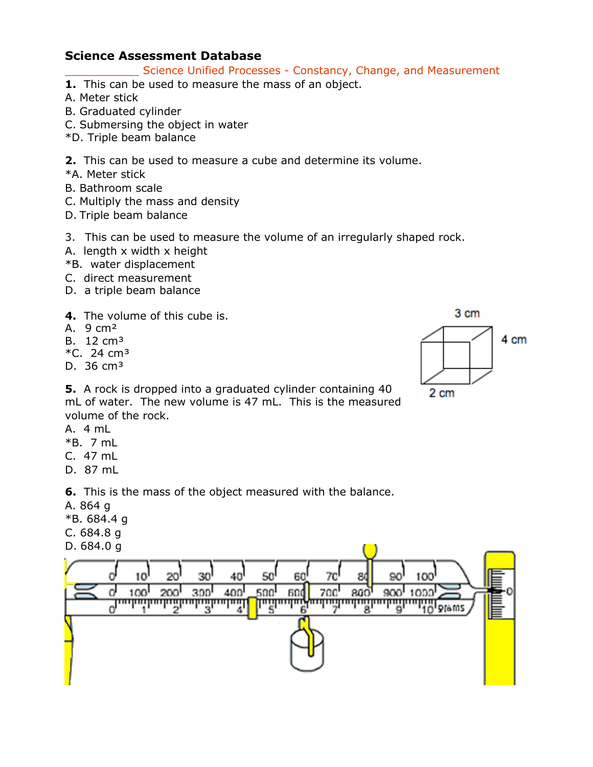#### Science Unified Processes - Constancy, Change, and Measurement

- **1.** This can be used to measure the mass of an object.
- A. Meter stick
- B. Graduated cylinder
- C. Submersing the object in water
- \*D. Triple beam balance
- **2.** This can be used to measure a cube and determine its volume.
- \*A. Meter stick
- B. Bathroom scale
- C. Multiply the mass and density
- D. Triple beam balance
- 3. This can be used to measure the volume of an irregularly shaped rock.
- A. length x width x height
- \*B. water displacement
- C. direct measurement
- D. a triple beam balance
- **4.** The volume of this cube is.
- A. 9 cm²
- B. 12 cm<sup>3</sup>
- $*C. 24 cm<sup>3</sup>$
- D.  $36 \text{ cm}^3$



**5.** A rock is dropped into a graduated cylinder containing 40 mL of water. The new volume is 47 mL. This is the measured volume of the rock.

- A. 4 mL
- \*B. 7 mL
- C. 47 mL
- D. 87 mL

**6.** This is the mass of the object measured with the balance.

- A. 864 g
- \*B. 684.4 g
- C. 684.8 g
- D. 684.0 g

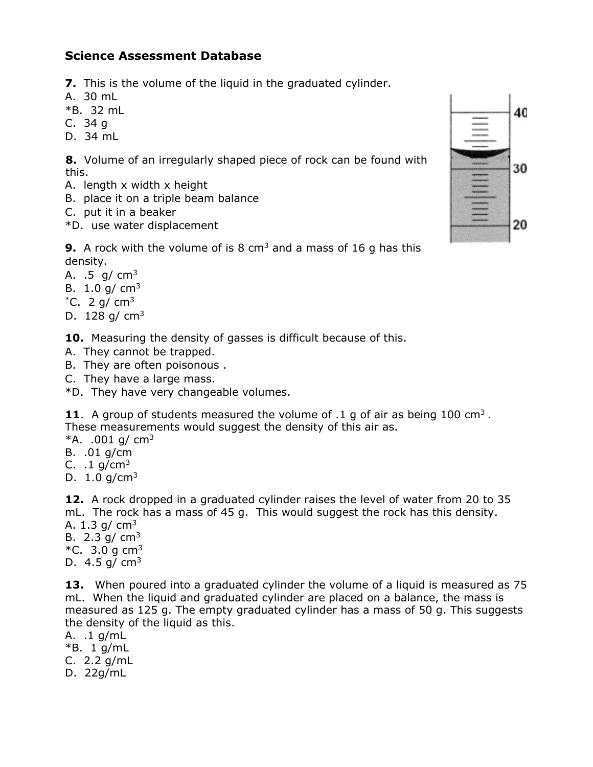- **7.** This is the volume of the liquid in the graduated cylinder.
- A. 30 mL
- $*$ B. 32 mL
- C. 34 g
- D. 34 mL

**8.** Volume of an irregularly shaped piece of rock can be found with this.

- A. length x width x height
- B. place it on a triple beam balance
- C. put it in a beaker
- \*D. use water displacement



**9.** A rock with the volume of is 8 cm<sup>3</sup> and a mass of 16 g has this density.

A.  $.5 \, g/cm<sup>3</sup>$ 

- B. 1.0 g/  $cm<sup>3</sup>$
- $^{\ast}$ C. 2 g/ cm<sup>3</sup>
- D.  $128$  g/  $cm<sup>3</sup>$

**10.** Measuring the density of gasses is difficult because of this.

- A. They cannot be trapped.
- B. They are often poisonous .
- C. They have a large mass.

\*D. They have very changeable volumes.

**11**. A group of students measured the volume of .1 g of air as being 100 cm3 . These measurements would suggest the density of this air as.

 $*A. .001$  g/ cm<sup>3</sup>

- B. .01 g/cm
- C.  $1 \frac{q}{cm^3}$
- D. 1.0 g/cm3

**12.** A rock dropped in a graduated cylinder raises the level of water from 20 to 35 mL. The rock has a mass of 45 g. This would suggest the rock has this density. A. 1.3 g/  $cm<sup>3</sup>$ 

- B. 2.3 g/  $cm<sup>3</sup>$
- $*C.$  3.0 g cm<sup>3</sup>
- D.  $4.5$  g/ cm<sup>3</sup>

**13.** When poured into a graduated cylinder the volume of a liquid is measured as 75 mL. When the liquid and graduated cylinder are placed on a balance, the mass is measured as 125 g. The empty graduated cylinder has a mass of 50 g. This suggests the density of the liquid as this.

- A. .1 g/mL
- \*B. 1 g/mL

C. 2.2 g/mL

D. 22g/mL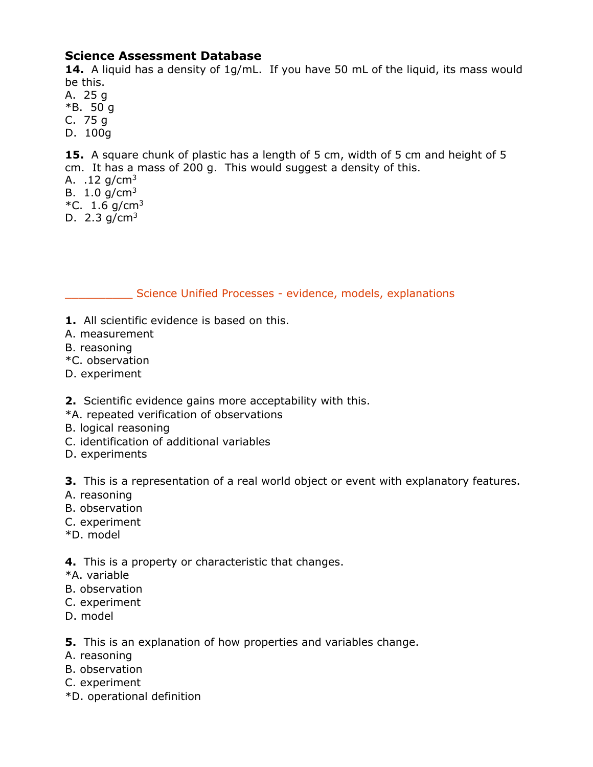**14.** A liquid has a density of 1g/mL. If you have 50 mL of the liquid, its mass would be this.

A. 25 g \*B. 50 g C. 75 g D. 100g

**15.** A square chunk of plastic has a length of 5 cm, width of 5 cm and height of 5 cm. It has a mass of 200 g. This would suggest a density of this. A.  $.12$  g/cm<sup>3</sup> B.  $1.0$  g/cm<sup>3</sup> \*C.  $1.6$  g/cm<sup>3</sup> D. 2.3  $q/cm^3$ 

## Science Unified Processes - evidence, models, explanations

- **1.** All scientific evidence is based on this.
- A. measurement
- B. reasoning
- \*C. observation
- D. experiment
- **2.** Scientific evidence gains more acceptability with this.
- \*A. repeated verification of observations
- B. logical reasoning
- C. identification of additional variables
- D. experiments

**3.** This is a representation of a real world object or event with explanatory features.

- A. reasoning
- B. observation
- C. experiment
- \*D. model

**4.** This is a property or characteristic that changes.

- \*A. variable
- B. observation
- C. experiment
- D. model

**5.** This is an explanation of how properties and variables change.

- A. reasoning
- B. observation
- C. experiment
- \*D. operational definition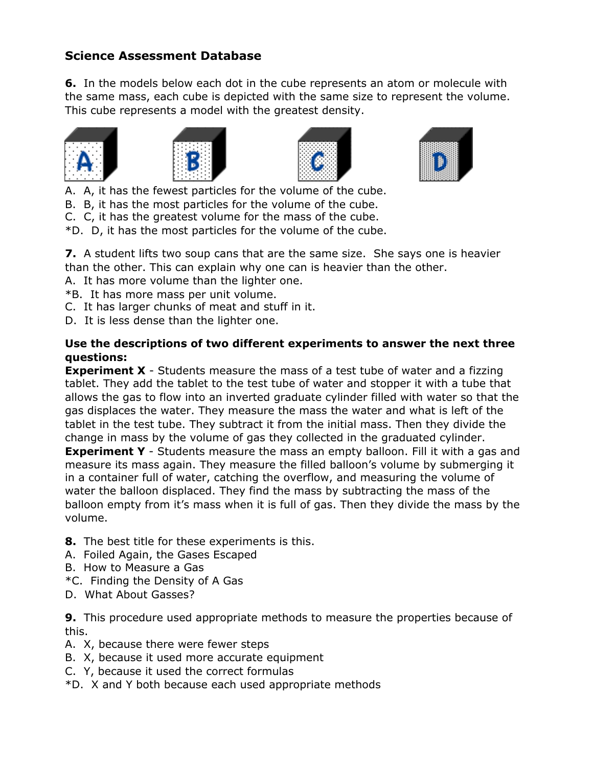**6.** In the models below each dot in the cube represents an atom or molecule with the same mass, each cube is depicted with the same size to represent the volume. This cube represents a model with the greatest density.









- A. A, it has the fewest particles for the volume of the cube.
- B. B, it has the most particles for the volume of the cube.
- C. C, it has the greatest volume for the mass of the cube.
- \*D. D, it has the most particles for the volume of the cube.

**7.** A student lifts two soup cans that are the same size. She says one is heavier

- than the other. This can explain why one can is heavier than the other.
- A. It has more volume than the lighter one.
- \*B. It has more mass per unit volume.
- C. It has larger chunks of meat and stuff in it.
- D. It is less dense than the lighter one.

#### **Use the descriptions of two different experiments to answer the next three questions:**

**Experiment X** - Students measure the mass of a test tube of water and a fizzing tablet. They add the tablet to the test tube of water and stopper it with a tube that allows the gas to flow into an inverted graduate cylinder filled with water so that the gas displaces the water. They measure the mass the water and what is left of the tablet in the test tube. They subtract it from the initial mass. Then they divide the change in mass by the volume of gas they collected in the graduated cylinder.

**Experiment Y** - Students measure the mass an empty balloon. Fill it with a gas and measure its mass again. They measure the filled balloon's volume by submerging it in a container full of water, catching the overflow, and measuring the volume of water the balloon displaced. They find the mass by subtracting the mass of the balloon empty from it's mass when it is full of gas. Then they divide the mass by the volume.

- **8.** The best title for these experiments is this.
- A. Foiled Again, the Gases Escaped
- B. How to Measure a Gas
- \*C. Finding the Density of A Gas
- D. What About Gasses?

**9.** This procedure used appropriate methods to measure the properties because of this.

- A. X, because there were fewer steps
- B. X, because it used more accurate equipment
- C. Y, because it used the correct formulas
- \*D. X and Y both because each used appropriate methods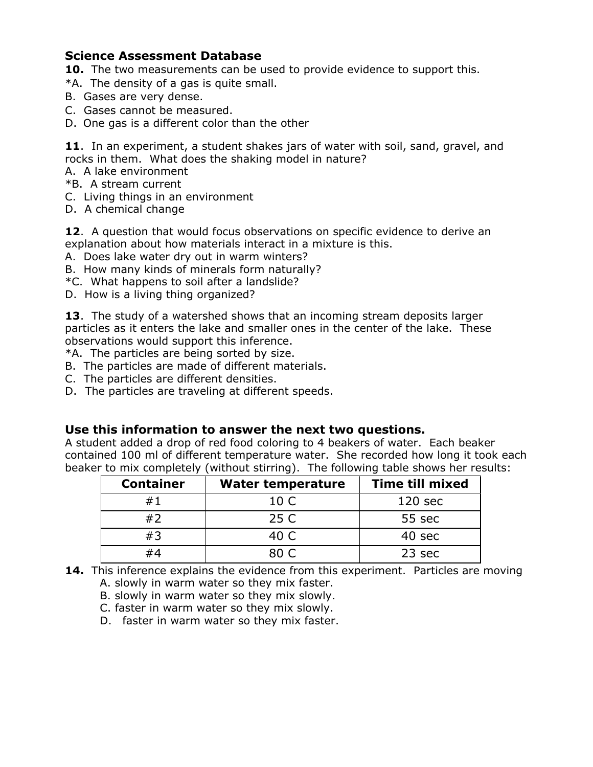**10.** The two measurements can be used to provide evidence to support this.

- \*A. The density of a gas is quite small.
- B. Gases are very dense.
- C. Gases cannot be measured.
- D. One gas is a different color than the other

**11**. In an experiment, a student shakes jars of water with soil, sand, gravel, and rocks in them. What does the shaking model in nature?

A. A lake environment

- \*B. A stream current
- C. Living things in an environment
- D. A chemical change

**12**. A question that would focus observations on specific evidence to derive an explanation about how materials interact in a mixture is this.

- A. Does lake water dry out in warm winters?
- B. How many kinds of minerals form naturally?
- \*C. What happens to soil after a landslide?
- D. How is a living thing organized?

**13**. The study of a watershed shows that an incoming stream deposits larger particles as it enters the lake and smaller ones in the center of the lake. These observations would support this inference.

\*A. The particles are being sorted by size.

- B. The particles are made of different materials.
- C. The particles are different densities.
- D. The particles are traveling at different speeds.

#### **Use this information to answer the next two questions.**

A student added a drop of red food coloring to 4 beakers of water. Each beaker contained 100 ml of different temperature water. She recorded how long it took each beaker to mix completely (without stirring). The following table shows her results:

| <b>Container</b> | <b>Water temperature</b> | <b>Time till mixed</b> |
|------------------|--------------------------|------------------------|
| #1               | 10 C                     | 120 <sub>sec</sub>     |
| #2               | 25 C                     | 55 sec                 |
| #3               | 40 C                     | 40 sec                 |
| #4               | 80 C                     | 23 sec                 |

- **14.** This inference explains the evidence from this experiment. Particles are moving A. slowly in warm water so they mix faster.
	- B. slowly in warm water so they mix slowly.
	- C. faster in warm water so they mix slowly.

D. faster in warm water so they mix faster.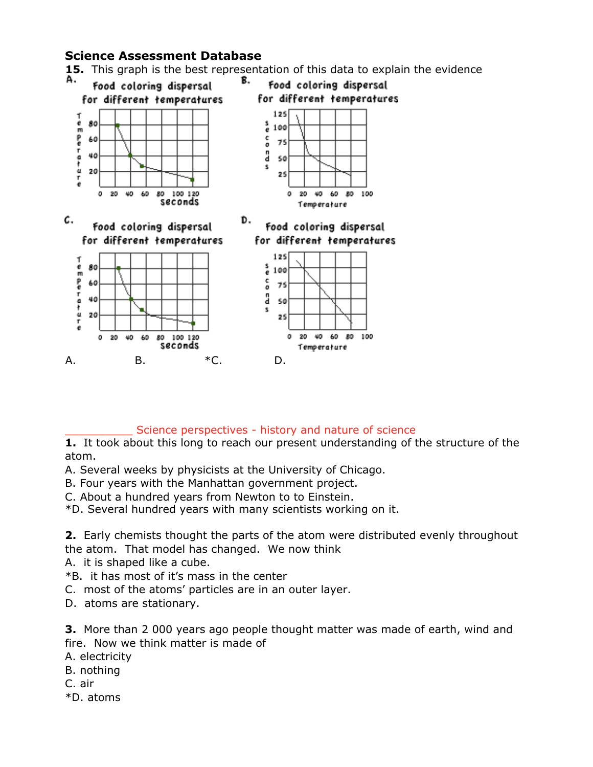**15.** This graph is the best representation of this data to explain the evidence



#### Science perspectives - history and nature of science

**1.** It took about this long to reach our present understanding of the structure of the atom.

- A. Several weeks by physicists at the University of Chicago.
- B. Four years with the Manhattan government project.
- C. About a hundred years from Newton to to Einstein.

\*D. Several hundred years with many scientists working on it.

**2.** Early chemists thought the parts of the atom were distributed evenly throughout the atom. That model has changed. We now think

- A. it is shaped like a cube.
- \*B. it has most of it's mass in the center
- C. most of the atoms' particles are in an outer layer.
- D. atoms are stationary.

**3.** More than 2 000 years ago people thought matter was made of earth, wind and fire. Now we think matter is made of

- A. electricity
- B. nothing
- C. air
- \*D. atoms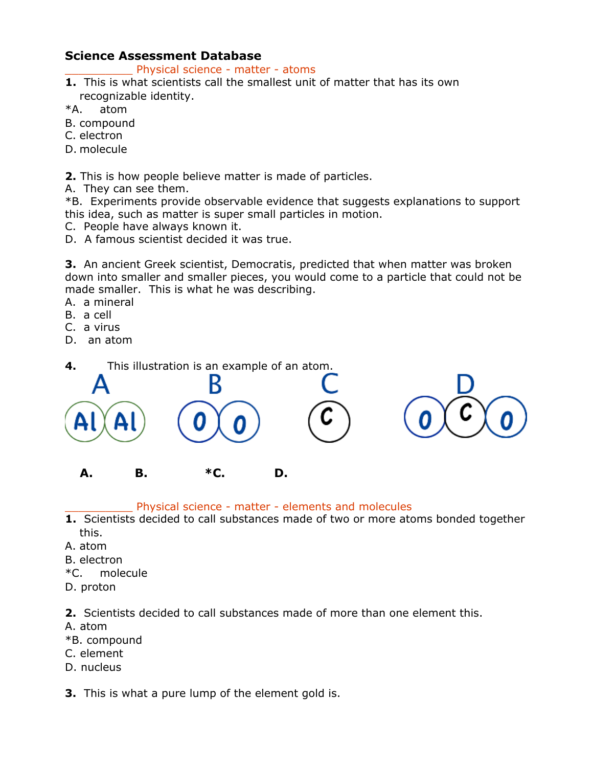Physical science - matter - atoms

- **1.** This is what scientists call the smallest unit of matter that has its own recognizable identity.
- \*A. atom
- B. compound
- C. electron
- D. molecule

**2.** This is how people believe matter is made of particles.

A. They can see them.

\*B. Experiments provide observable evidence that suggests explanations to support this idea, such as matter is super small particles in motion.

- C. People have always known it.
- D. A famous scientist decided it was true.

**3.** An ancient Greek scientist, Democratis, predicted that when matter was broken down into smaller and smaller pieces, you would come to a particle that could not be made smaller. This is what he was describing.

- A. a mineral
- B. a cell
- C. a virus
- D. an atom



Physical science - matter - elements and molecules

- **1.** Scientists decided to call substances made of two or more atoms bonded together this.
- A. atom
- B. electron
- \*C. molecule
- D. proton

**2.** Scientists decided to call substances made of more than one element this.

- A. atom
- \*B. compound
- C. element
- D. nucleus

**3.** This is what a pure lump of the element gold is.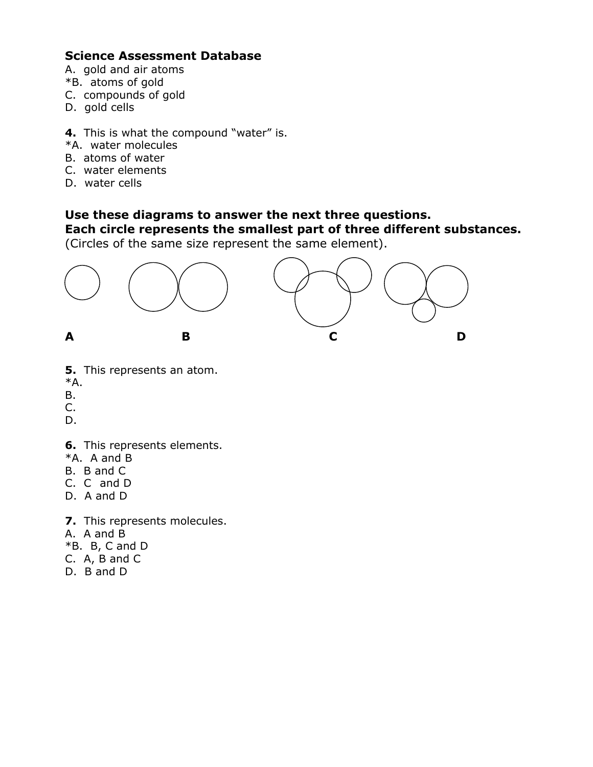- A. gold and air atoms
- \*B. atoms of gold
- C. compounds of gold
- D. gold cells
- **4.** This is what the compound "water" is.
- \*A. water molecules
- B. atoms of water
- C. water elements
- D. water cells

# **Use these diagrams to answer the next three questions.**

## **Each circle represents the smallest part of three different substances.**

(Circles of the same size represent the same element).



- **5.** This represents an atom.
- \*A.
- B.
- C.
- D.
- **6.** This represents elements.
- \*A. A and B
- B. B and C
- C. C and D
- D. A and D
- **7.** This represents molecules.
- A. A and B
- $*B.$  B, C and D
- C. A, B and C
- D. B and D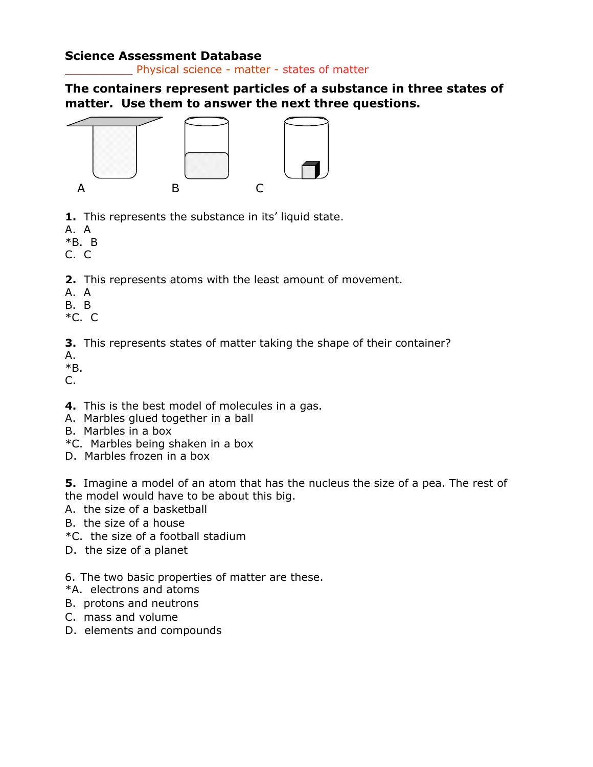Physical science - matter - states of matter

**The containers represent particles of a substance in three states of matter. Use them to answer the next three questions.**



- **1.** This represents the substance in its' liquid state.
- A. A
- \*B. B
- C. C
- **2.** This represents atoms with the least amount of movement.
- A. A
- B. B
- \*C. C

**3.** This represents states of matter taking the shape of their container?

- A.
- \*B.

 $C_{\cdot}$ 

- **4.** This is the best model of molecules in a gas.
- A. Marbles glued together in a ball
- B. Marbles in a box
- \*C. Marbles being shaken in a box
- D. Marbles frozen in a box

**5.** Imagine a model of an atom that has the nucleus the size of a pea. The rest of the model would have to be about this big.

- A. the size of a basketball
- B. the size of a house
- \*C. the size of a football stadium
- D. the size of a planet

6. The two basic properties of matter are these.

- \*A. electrons and atoms
- B. protons and neutrons
- C. mass and volume
- D. elements and compounds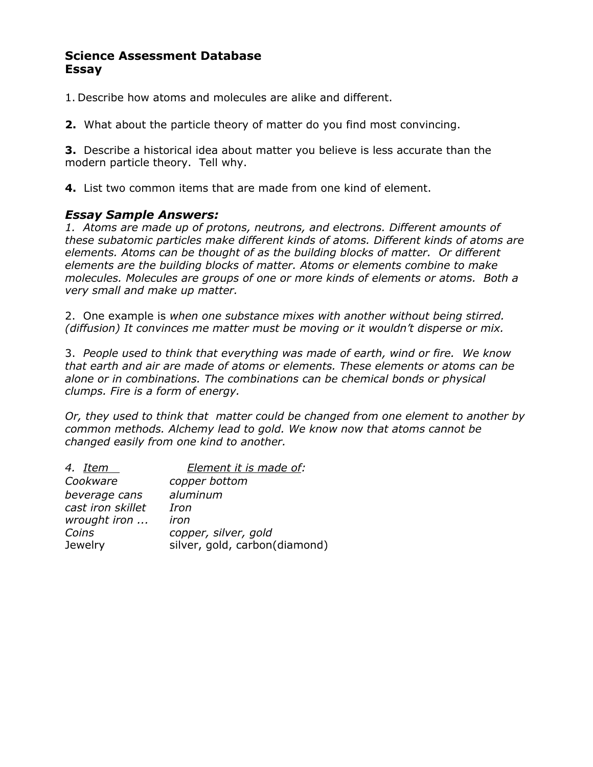1. Describe how atoms and molecules are alike and different.

**2.** What about the particle theory of matter do you find most convincing.

**3.** Describe a historical idea about matter you believe is less accurate than the modern particle theory. Tell why.

**4.** List two common items that are made from one kind of element.

## *Essay Sample Answers:*

*1. Atoms are made up of protons, neutrons, and electrons. Different amounts of these subatomic particles make different kinds of atoms. Different kinds of atoms are elements. Atoms can be thought of as the building blocks of matter. Or different elements are the building blocks of matter. Atoms or elements combine to make molecules. Molecules are groups of one or more kinds of elements or atoms. Both a very small and make up matter.*

2. One example is *when one substance mixes with another without being stirred. (diffusion) It convinces me matter must be moving or it wouldn't disperse or mix.* 

3. *People used to think that everything was made of earth, wind or fire. We know that earth and air are made of atoms or elements. These elements or atoms can be alone or in combinations. The combinations can be chemical bonds or physical clumps. Fire is a form of energy.*

*Or, they used to think that matter could be changed from one element to another by common methods. Alchemy lead to gold. We know now that atoms cannot be changed easily from one kind to another.* 

| Element it is made of:        |
|-------------------------------|
| copper bottom                 |
| aluminum                      |
| Iron                          |
| iron                          |
| copper, silver, gold          |
| silver, gold, carbon(diamond) |
|                               |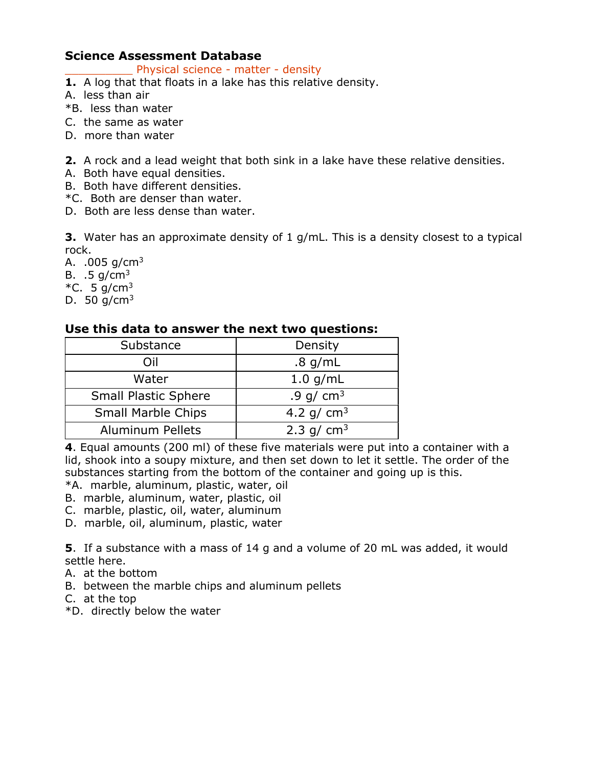Physical science - matter - density

- **1.** A log that that floats in a lake has this relative density.
- A. less than air
- \*B. less than water
- C. the same as water
- D. more than water
- **2.** A rock and a lead weight that both sink in a lake have these relative densities.
- A. Both have equal densities.
- B. Both have different densities.
- \*C. Both are denser than water.
- D. Both are less dense than water.

**3.** Water has an approximate density of 1 g/mL. This is a density closest to a typical rock.

A.  $.005$  g/cm<sup>3</sup> B.  $.5 \text{ g/cm}^3$ \*C. 5 g/cm<sup>3</sup> D. 50  $q/cm^3$ 

## **Use this data to answer the next two questions:**

| Substance                   | Density      |
|-----------------------------|--------------|
| Oil                         | $.8$ g/mL    |
| Water                       | $1.0$ g/mL   |
| <b>Small Plastic Sphere</b> | .9 g/ $cm3$  |
| <b>Small Marble Chips</b>   | 4.2 g/ $cm3$ |
| <b>Aluminum Pellets</b>     | 2.3 g/ $cm3$ |

**4**. Equal amounts (200 ml) of these five materials were put into a container with a lid, shook into a soupy mixture, and then set down to let it settle. The order of the substances starting from the bottom of the container and going up is this.

\*A. marble, aluminum, plastic, water, oil

- B. marble, aluminum, water, plastic, oil
- C. marble, plastic, oil, water, aluminum
- D. marble, oil, aluminum, plastic, water

**5**. If a substance with a mass of 14 g and a volume of 20 mL was added, it would settle here.

- A. at the bottom
- B. between the marble chips and aluminum pellets
- C. at the top
- \*D. directly below the water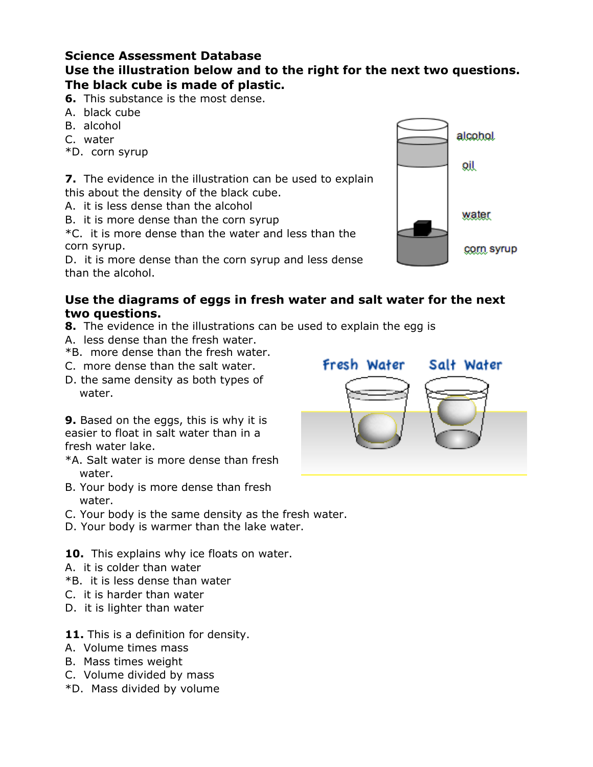# **Use the illustration below and to the right for the next two questions. The black cube is made of plastic.**

**6.** This substance is the most dense.

- A. black cube
- B. alcohol
- C. water
- \*D. corn syrup

**7.** The evidence in the illustration can be used to explain this about the density of the black cube.

- A. it is less dense than the alcohol
- B. it is more dense than the corn syrup

\*C. it is more dense than the water and less than the corn syrup.

D. it is more dense than the corn syrup and less dense than the alcohol.

## **Use the diagrams of eggs in fresh water and salt water for the next two questions.**

- **8.** The evidence in the illustrations can be used to explain the egg is
- A. less dense than the fresh water.
- \*B. more dense than the fresh water.
- C. more dense than the salt water.
- D. the same density as both types of water.

**9.** Based on the eggs, this is why it is easier to float in salt water than in a fresh water lake.

- \*A. Salt water is more dense than fresh water.
- B. Your body is more dense than fresh water.
- C. Your body is the same density as the fresh water.
- D. Your body is warmer than the lake water.

10. This explains why ice floats on water.

- A. it is colder than water
- \*B. it is less dense than water
- C. it is harder than water
- D. it is lighter than water
- **11.** This is a definition for density.
- A. Volume times mass
- B. Mass times weight
- C. Volume divided by mass
- \*D. Mass divided by volume



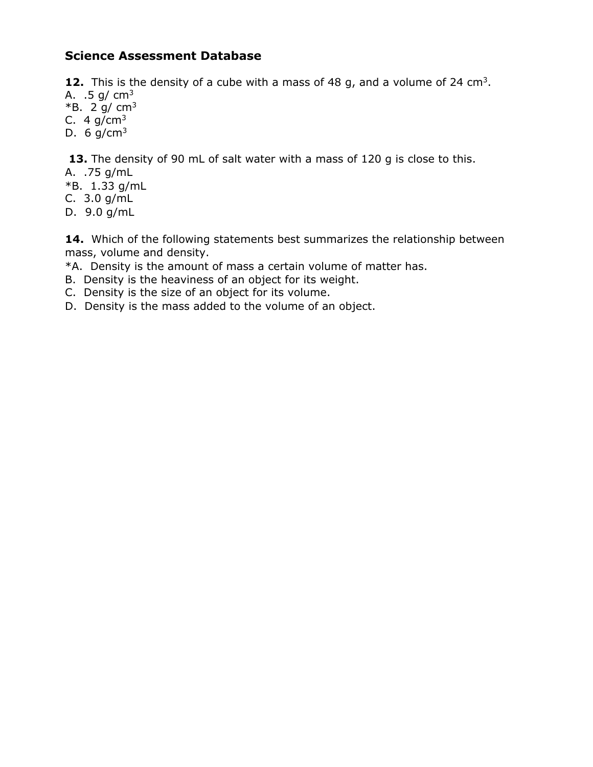**12.** This is the density of a cube with a mass of 48 g, and a volume of 24 cm<sup>3</sup>.

- A.  $.5 \text{ g/cm}^3$
- $*B. 2 g/cm<sup>3</sup>$
- C. 4  $g/cm<sup>3</sup>$
- D. 6  $g/cm<sup>3</sup>$

**13.** The density of 90 mL of salt water with a mass of 120 g is close to this.

- A. .75 g/mL
- \*B. 1.33 g/mL
- C. 3.0 g/mL
- D. 9.0 g/mL

**14.** Which of the following statements best summarizes the relationship between mass, volume and density.

\*A. Density is the amount of mass a certain volume of matter has.

- B. Density is the heaviness of an object for its weight.
- C. Density is the size of an object for its volume.
- D. Density is the mass added to the volume of an object.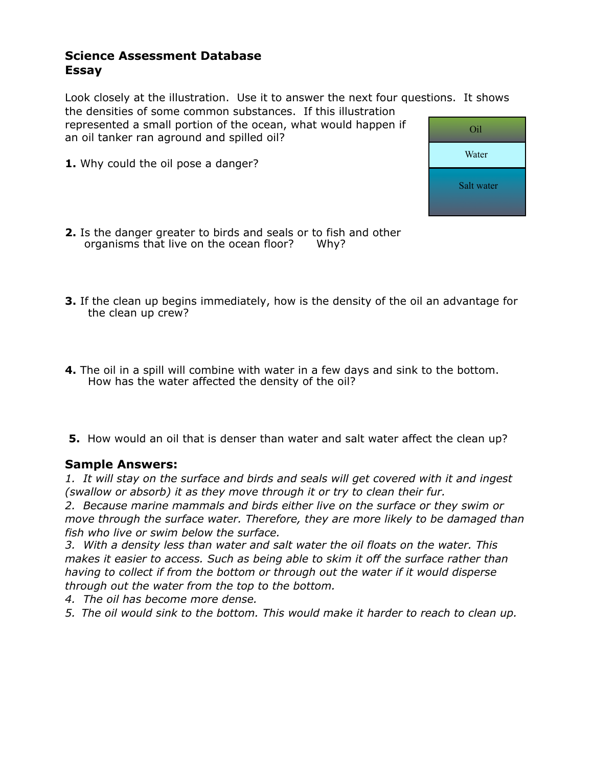Look closely at the illustration. Use it to answer the next four questions. It shows the densities of some common substances. If this illustration

represented a small portion of the ocean, what would happen if an oil tanker ran aground and spilled oil?

**1.** Why could the oil pose a danger?



- **2.** Is the danger greater to birds and seals or to fish and other organisms that live on the ocean floor? Why?
- **3.** If the clean up begins immediately, how is the density of the oil an advantage for the clean up crew?
- **4.** The oil in a spill will combine with water in a few days and sink to the bottom. How has the water affected the density of the oil?
- **5.** How would an oil that is denser than water and salt water affect the clean up?

#### **Sample Answers:**

*1. It will stay on the surface and birds and seals will get covered with it and ingest (swallow or absorb) it as they move through it or try to clean their fur.*

*2. Because marine mammals and birds either live on the surface or they swim or move through the surface water. Therefore, they are more likely to be damaged than fish who live or swim below the surface.* 

*3. With a density less than water and salt water the oil floats on the water. This makes it easier to access. Such as being able to skim it off the surface rather than having to collect if from the bottom or through out the water if it would disperse through out the water from the top to the bottom.*

- *4. The oil has become more dense.*
- *5. The oil would sink to the bottom. This would make it harder to reach to clean up.*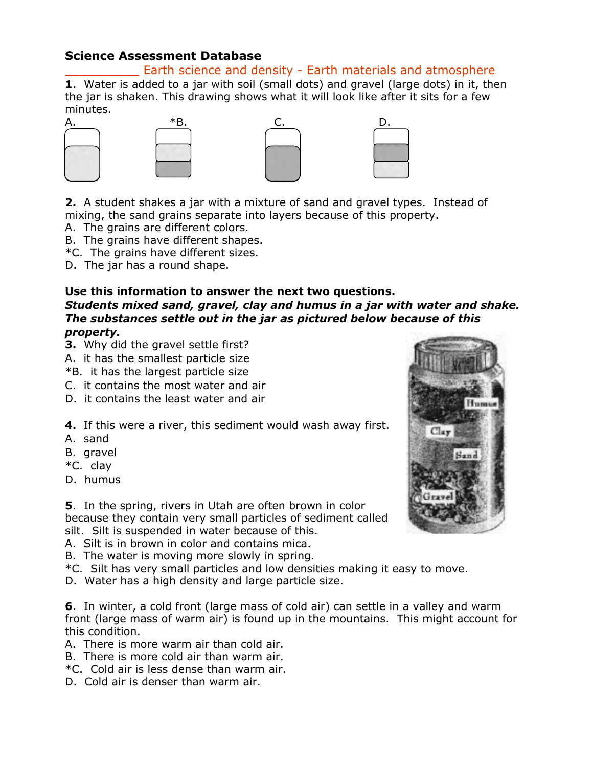## Earth science and density - Earth materials and atmosphere

**1**. Water is added to a jar with soil (small dots) and gravel (large dots) in it, then the jar is shaken. This drawing shows what it will look like after it sits for a few minutes.







**2.** A student shakes a jar with a mixture of sand and gravel types. Instead of mixing, the sand grains separate into layers because of this property.

- A. The grains are different colors.
- B. The grains have different shapes.
- \*C. The grains have different sizes.
- D. The jar has a round shape.

#### **Use this information to answer the next two questions.**

*Students mixed sand, gravel, clay and humus in a jar with water and shake. The substances settle out in the jar as pictured below because of this property.* 

- **3.** Why did the gravel settle first?
- A. it has the smallest particle size
- \*B. it has the largest particle size
- C. it contains the most water and air
- D. it contains the least water and air
- **4.** If this were a river, this sediment would wash away first.
- A. sand
- B. gravel
- \*C. clay
- D. humus

**5**. In the spring, rivers in Utah are often brown in color because they contain very small particles of sediment called silt. Silt is suspended in water because of this.

- A. Silt is in brown in color and contains mica.
- B. The water is moving more slowly in spring.
- \*C. Silt has very small particles and low densities making it easy to move.
- D. Water has a high density and large particle size.

**6**. In winter, a cold front (large mass of cold air) can settle in a valley and warm front (large mass of warm air) is found up in the mountains. This might account for this condition.

- A. There is more warm air than cold air.
- B. There is more cold air than warm air.
- \*C. Cold air is less dense than warm air.
- D. Cold air is denser than warm air.

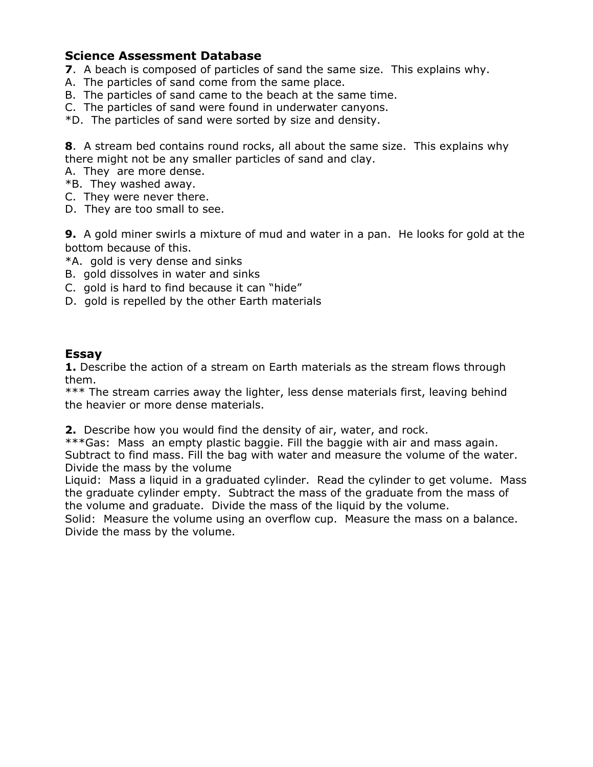- **7**. A beach is composed of particles of sand the same size. This explains why.
- A. The particles of sand come from the same place.
- B. The particles of sand came to the beach at the same time.
- C. The particles of sand were found in underwater canyons.
- \*D. The particles of sand were sorted by size and density.

**8**. A stream bed contains round rocks, all about the same size. This explains why there might not be any smaller particles of sand and clay.

A. They are more dense.

- \*B. They washed away.
- C. They were never there.
- D. They are too small to see.

**9.** A gold miner swirls a mixture of mud and water in a pan. He looks for gold at the bottom because of this.

\*A. gold is very dense and sinks

- B. gold dissolves in water and sinks
- C. gold is hard to find because it can "hide"
- D. gold is repelled by the other Earth materials

## **Essay**

**1.** Describe the action of a stream on Earth materials as the stream flows through them.

\*\*\* The stream carries away the lighter, less dense materials first, leaving behind the heavier or more dense materials.

**2.** Describe how you would find the density of air, water, and rock.

\*\*\*Gas: Mass an empty plastic baggie. Fill the baggie with air and mass again. Subtract to find mass. Fill the bag with water and measure the volume of the water. Divide the mass by the volume

Liquid: Mass a liquid in a graduated cylinder. Read the cylinder to get volume. Mass the graduate cylinder empty. Subtract the mass of the graduate from the mass of the volume and graduate. Divide the mass of the liquid by the volume.

Solid: Measure the volume using an overflow cup. Measure the mass on a balance. Divide the mass by the volume.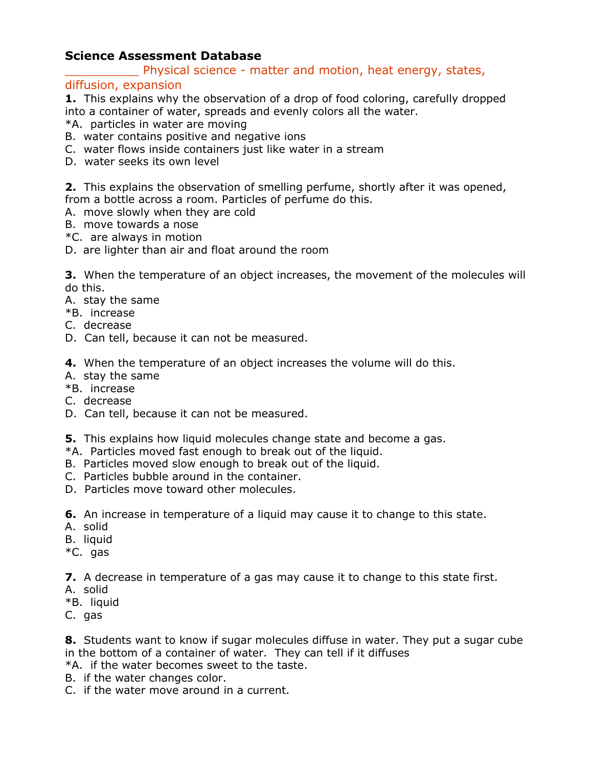Physical science - matter and motion, heat energy, states,

#### diffusion, expansion

**1.** This explains why the observation of a drop of food coloring, carefully dropped into a container of water, spreads and evenly colors all the water.

- \*A. particles in water are moving
- B. water contains positive and negative ions
- C. water flows inside containers just like water in a stream
- D. water seeks its own level

**2.** This explains the observation of smelling perfume, shortly after it was opened, from a bottle across a room. Particles of perfume do this.

- A. move slowly when they are cold
- B. move towards a nose
- \*C. are always in motion
- D. are lighter than air and float around the room

**3.** When the temperature of an object increases, the movement of the molecules will do this.

- A. stay the same
- \*B. increase
- C. decrease
- D. Can tell, because it can not be measured.
- **4.** When the temperature of an object increases the volume will do this.
- A. stay the same
- \*B. increase
- C. decrease
- D. Can tell, because it can not be measured.
- **5.** This explains how liquid molecules change state and become a gas.
- \*A. Particles moved fast enough to break out of the liquid.
- B. Particles moved slow enough to break out of the liquid.
- C. Particles bubble around in the container.
- D. Particles move toward other molecules.
- **6.** An increase in temperature of a liquid may cause it to change to this state.
- A. solid
- B. liquid
- \*C. gas
- **7.** A decrease in temperature of a gas may cause it to change to this state first.
- A. solid
- \*B. liquid
- C. gas

**8.** Students want to know if sugar molecules diffuse in water. They put a sugar cube in the bottom of a container of water. They can tell if it diffuses

- \*A. if the water becomes sweet to the taste.
- B. if the water changes color.
- C. if the water move around in a current.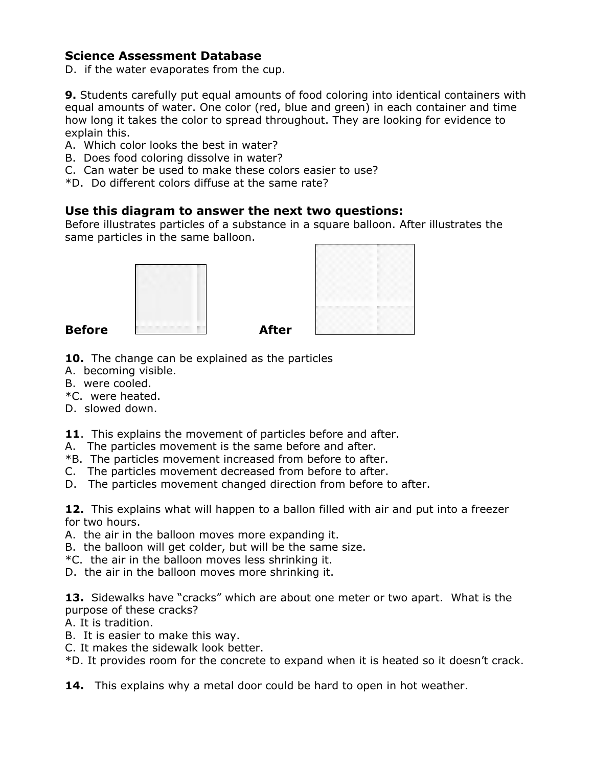D. if the water evaporates from the cup.

**9.** Students carefully put equal amounts of food coloring into identical containers with equal amounts of water. One color (red, blue and green) in each container and time how long it takes the color to spread throughout. They are looking for evidence to explain this.

- A. Which color looks the best in water?
- B. Does food coloring dissolve in water?
- C. Can water be used to make these colors easier to use?
- \*D. Do different colors diffuse at the same rate?

## **Use this diagram to answer the next two questions:**

Before illustrates particles of a substance in a square balloon. After illustrates the same particles in the same balloon.





- **10.** The change can be explained as the particles
- A. becoming visible.
- B. were cooled.
- \*C. were heated.
- D. slowed down.
- **11**. This explains the movement of particles before and after.
- A. The particles movement is the same before and after.
- \*B. The particles movement increased from before to after.
- C. The particles movement decreased from before to after.
- D. The particles movement changed direction from before to after.

**12.** This explains what will happen to a ballon filled with air and put into a freezer for two hours.

- A. the air in the balloon moves more expanding it.
- B. the balloon will get colder, but will be the same size.
- \*C. the air in the balloon moves less shrinking it.
- D. the air in the balloon moves more shrinking it.

**13.** Sidewalks have "cracks" which are about one meter or two apart. What is the purpose of these cracks?

- A. It is tradition.
- B. It is easier to make this way.
- C. It makes the sidewalk look better.

\*D. It provides room for the concrete to expand when it is heated so it doesn't crack.

**14.** This explains why a metal door could be hard to open in hot weather.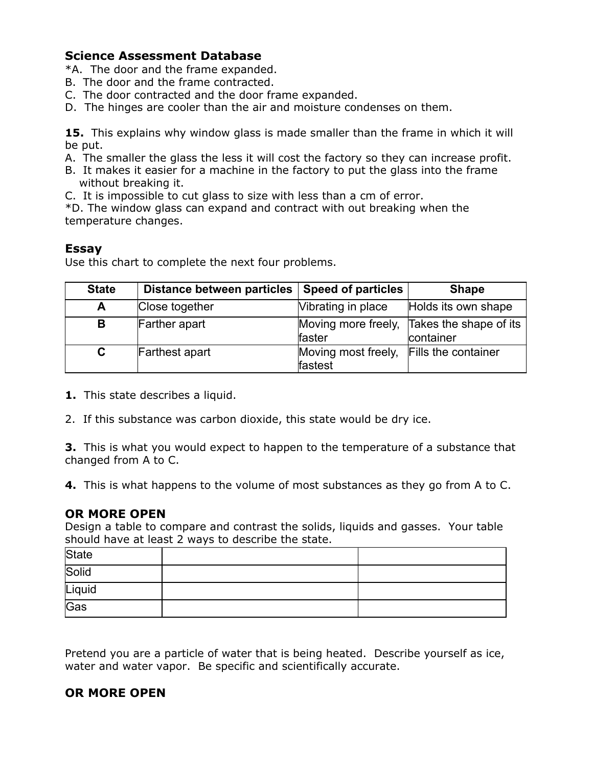\*A. The door and the frame expanded.

- B. The door and the frame contracted.
- C. The door contracted and the door frame expanded.
- D. The hinges are cooler than the air and moisture condenses on them.

**15.** This explains why window glass is made smaller than the frame in which it will be put.

- A. The smaller the glass the less it will cost the factory so they can increase profit.
- B. It makes it easier for a machine in the factory to put the glass into the frame without breaking it.
- C. It is impossible to cut glass to size with less than a cm of error.

\*D. The window glass can expand and contract with out breaking when the temperature changes.

## **Essay**

Use this chart to complete the next four problems.

| <b>State</b> | Distance between particles | <b>Speed of particles</b>                          | <b>Shape</b>                        |
|--------------|----------------------------|----------------------------------------------------|-------------------------------------|
| A            | Close together             | Vibrating in place                                 | Holds its own shape                 |
| B            | Farther apart              | Moving more freely,<br>lfaster                     | Takes the shape of its<br>container |
| C            | Farthest apart             | Moving most freely, Fills the container<br>fastest |                                     |

- **1.** This state describes a liquid.
- 2. If this substance was carbon dioxide, this state would be dry ice.

**3.** This is what you would expect to happen to the temperature of a substance that changed from A to C.

**4.** This is what happens to the volume of most substances as they go from A to C.

## **OR MORE OPEN**

Design a table to compare and contrast the solids, liquids and gasses. Your table should have at least 2 ways to describe the state.

| State  |  |
|--------|--|
| Solid  |  |
| Liquid |  |
| Gas    |  |

Pretend you are a particle of water that is being heated. Describe yourself as ice, water and water vapor. Be specific and scientifically accurate.

## **OR MORE OPEN**